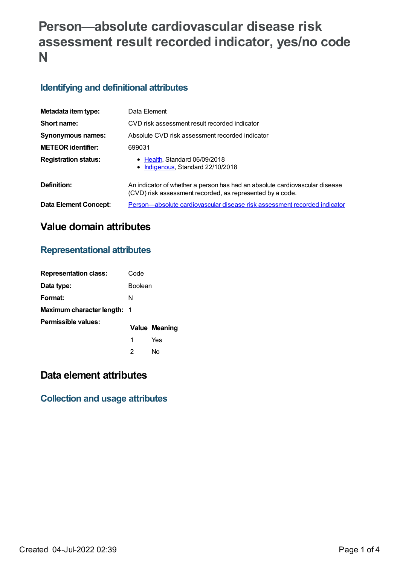# **Person—absolute cardiovascular disease risk assessment result recorded indicator, yes/no code N**

### **Identifying and definitional attributes**

| Metadata item type:         | Data Element                                                                                                                             |
|-----------------------------|------------------------------------------------------------------------------------------------------------------------------------------|
| Short name:                 | CVD risk assessment result recorded indicator                                                                                            |
| <b>Synonymous names:</b>    | Absolute CVD risk assessment recorded indicator                                                                                          |
| <b>METEOR</b> identifier:   | 699031                                                                                                                                   |
| <b>Registration status:</b> | • Health, Standard 06/09/2018<br>Indigenous, Standard 22/10/2018                                                                         |
| Definition:                 | An indicator of whether a person has had an absolute cardiovascular disease<br>(CVD) risk assessment recorded, as represented by a code. |
| Data Element Concept:       | Person—absolute cardiovascular disease risk assessment recorded indicator                                                                |

# **Value domain attributes**

### **Representational attributes**

| <b>Representation class:</b> | Code           |               |
|------------------------------|----------------|---------------|
| Data type:                   | <b>Boolean</b> |               |
| Format:                      | N              |               |
| Maximum character length: 1  |                |               |
| Permissible values:          |                | Value Meaning |
|                              | 1              | Yes           |
|                              | 2              | N٥            |

# **Data element attributes**

### **Collection and usage attributes**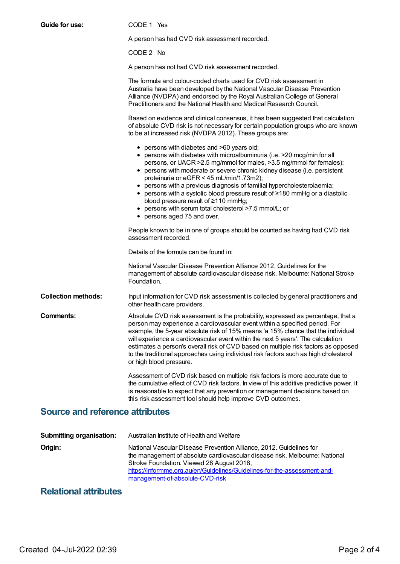| <b>Guide for use:</b>                  | CODE 1 Yes                                                                                                                                                                                                                                                                                                                                                                                                                                                                                                                                                                                                             |  |
|----------------------------------------|------------------------------------------------------------------------------------------------------------------------------------------------------------------------------------------------------------------------------------------------------------------------------------------------------------------------------------------------------------------------------------------------------------------------------------------------------------------------------------------------------------------------------------------------------------------------------------------------------------------------|--|
|                                        | A person has had CVD risk assessment recorded.                                                                                                                                                                                                                                                                                                                                                                                                                                                                                                                                                                         |  |
|                                        | CODE 2 No                                                                                                                                                                                                                                                                                                                                                                                                                                                                                                                                                                                                              |  |
|                                        | A person has not had CVD risk assessment recorded.                                                                                                                                                                                                                                                                                                                                                                                                                                                                                                                                                                     |  |
|                                        | The formula and colour-coded charts used for CVD risk assessment in<br>Australia have been developed by the National Vascular Disease Prevention<br>Alliance (NVDPA) and endorsed by the Royal Australian College of General<br>Practitioners and the National Health and Medical Research Council.                                                                                                                                                                                                                                                                                                                    |  |
|                                        | Based on evidence and clinical consensus, it has been suggested that calculation<br>of absolute CVD risk is not necessary for certain population groups who are known<br>to be at increased risk (NVDPA 2012). These groups are:                                                                                                                                                                                                                                                                                                                                                                                       |  |
|                                        | • persons with diabetes and >60 years old;<br>• persons with diabetes with microalbuminuria (i.e. >20 mcg/min for all<br>persons, or UACR > 2.5 mg/mmol for males, > 3.5 mg/mmol for females);<br>• persons with moderate or severe chronic kidney disease (i.e. persistent<br>proteinuria or eGFR < 45 mL/min/1.73m2);<br>• persons with a previous diagnosis of familial hypercholesterolaemia;<br>• persons with a systolic blood pressure result of $\geq$ 180 mmHg or a diastolic<br>blood pressure result of ≥110 mmHg;<br>• persons with serum total cholesterol >7.5 mmol/L; or<br>• persons aged 75 and over. |  |
|                                        | People known to be in one of groups should be counted as having had CVD risk<br>assessment recorded.                                                                                                                                                                                                                                                                                                                                                                                                                                                                                                                   |  |
|                                        | Details of the formula can be found in:                                                                                                                                                                                                                                                                                                                                                                                                                                                                                                                                                                                |  |
|                                        | National Vascular Disease Prevention Alliance 2012. Guidelines for the<br>management of absolute cardiovascular disease risk. Melbourne: National Stroke<br>Foundation.                                                                                                                                                                                                                                                                                                                                                                                                                                                |  |
| <b>Collection methods:</b>             | Input information for CVD risk assessment is collected by general practitioners and<br>other health care providers.                                                                                                                                                                                                                                                                                                                                                                                                                                                                                                    |  |
| Comments:                              | Absolute CVD risk assessment is the probability, expressed as percentage, that a<br>person may experience a cardiovascular event within a specified period. For<br>example, the 5-year absolute risk of 15% means 'a 15% chance that the individual<br>will experience a cardiovascular event within the next 5 years'. The calculation<br>estimates a person's overall risk of CVD based on multiple risk factors as opposed<br>to the traditional approaches using individual risk factors such as high cholesterol<br>or high blood pressure.                                                                       |  |
|                                        | Assessment of CVD risk based on multiple risk factors is more accurate due to<br>the cumulative effect of CVD risk factors. In view of this additive predictive power, it<br>is reasonable to expect that any prevention or management decisions based on<br>this risk assessment tool should help improve CVD outcomes.                                                                                                                                                                                                                                                                                               |  |
| <b>Source and reference attributes</b> |                                                                                                                                                                                                                                                                                                                                                                                                                                                                                                                                                                                                                        |  |
|                                        |                                                                                                                                                                                                                                                                                                                                                                                                                                                                                                                                                                                                                        |  |
| Submitting organisation:               | Australian Institute of Health and Welfare                                                                                                                                                                                                                                                                                                                                                                                                                                                                                                                                                                             |  |

| <b>UUDITIIGITY UTYGITIJAGUUTI.</b> | Ausualian Instituto Of Hoalth and Victial C                                                                                                                                                                                                                                                                    |
|------------------------------------|----------------------------------------------------------------------------------------------------------------------------------------------------------------------------------------------------------------------------------------------------------------------------------------------------------------|
| Origin:                            | National Vascular Disease Prevention Alliance, 2012. Guidelines for<br>the management of absolute cardiovascular disease risk. Melbourne: National<br>Stroke Foundation. Viewed 28 August 2018,<br>https://informme.org.au/en/Guidelines/Guidelines-for-the-assessment-and-<br>management-of-absolute-CVD-risk |
|                                    |                                                                                                                                                                                                                                                                                                                |

# **Relational attributes**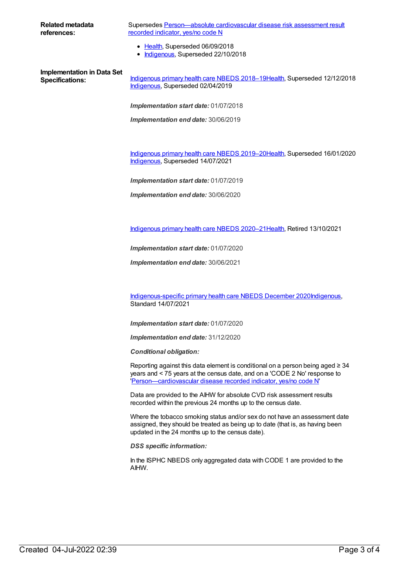| Related metadata           | Supersedes Person—absolute cardiovascular disease risk assessment result  |
|----------------------------|---------------------------------------------------------------------------|
| references:                | recorded indicator, yes/no code N                                         |
|                            | • Health, Superseded 06/09/2018<br>• Indigenous, Superseded 22/10/2018    |
| Implementation in Data Set | Indigenous primary health care NBEDS 2018-19Health, Superseded 12/12/2018 |
| <b>Specifications:</b>     | Indigenous, Superseded 02/04/2019                                         |
|                            | <b>Implementation start date: 01/07/2018</b>                              |

*Implementation end date:* 30/06/2019

[Indigenous](https://meteor.aihw.gov.au/content/707502) primary health care NBEDS 2019–20[Health](https://meteor.aihw.gov.au/RegistrationAuthority/12), Superseded 16/01/2020 [Indigenous](https://meteor.aihw.gov.au/RegistrationAuthority/6), Superseded 14/07/2021

*Implementation start date:* 01/07/2019

*Implementation end date:* 30/06/2020

[Indigenous](https://meteor.aihw.gov.au/content/715320) primary health care NBEDS 2020–21[Health](https://meteor.aihw.gov.au/RegistrationAuthority/12), Retired 13/10/2021

*Implementation start date:* 01/07/2020

*Implementation end date:* 30/06/2021

[Indigenous-specific](https://meteor.aihw.gov.au/content/738532) primary health care NBEDS December 2020[Indigenous](https://meteor.aihw.gov.au/RegistrationAuthority/6), Standard 14/07/2021

*Implementation start date:* 01/07/2020

*Implementation end date:* 31/12/2020

*Conditional obligation:*

Reporting against this data element is conditional on a person being aged  $\geq 34$ years and < 75 years at the census date, and on a 'CODE 2 No' response to '[Person—cardiovascular](file:///content/465948) disease recorded indicator, yes/no code N'

Data are provided to the AIHW for absolute CVD risk assessment results recorded within the previous 24 months up to the census date.

Where the tobacco smoking status and/or sex do not have an assessment date assigned, they should be treated as being up to date (that is, as having been updated in the 24 months up to the census date).

*DSS specific information:*

In the ISPHC NBEDS only aggregated data with CODE 1 are provided to the AIHW.